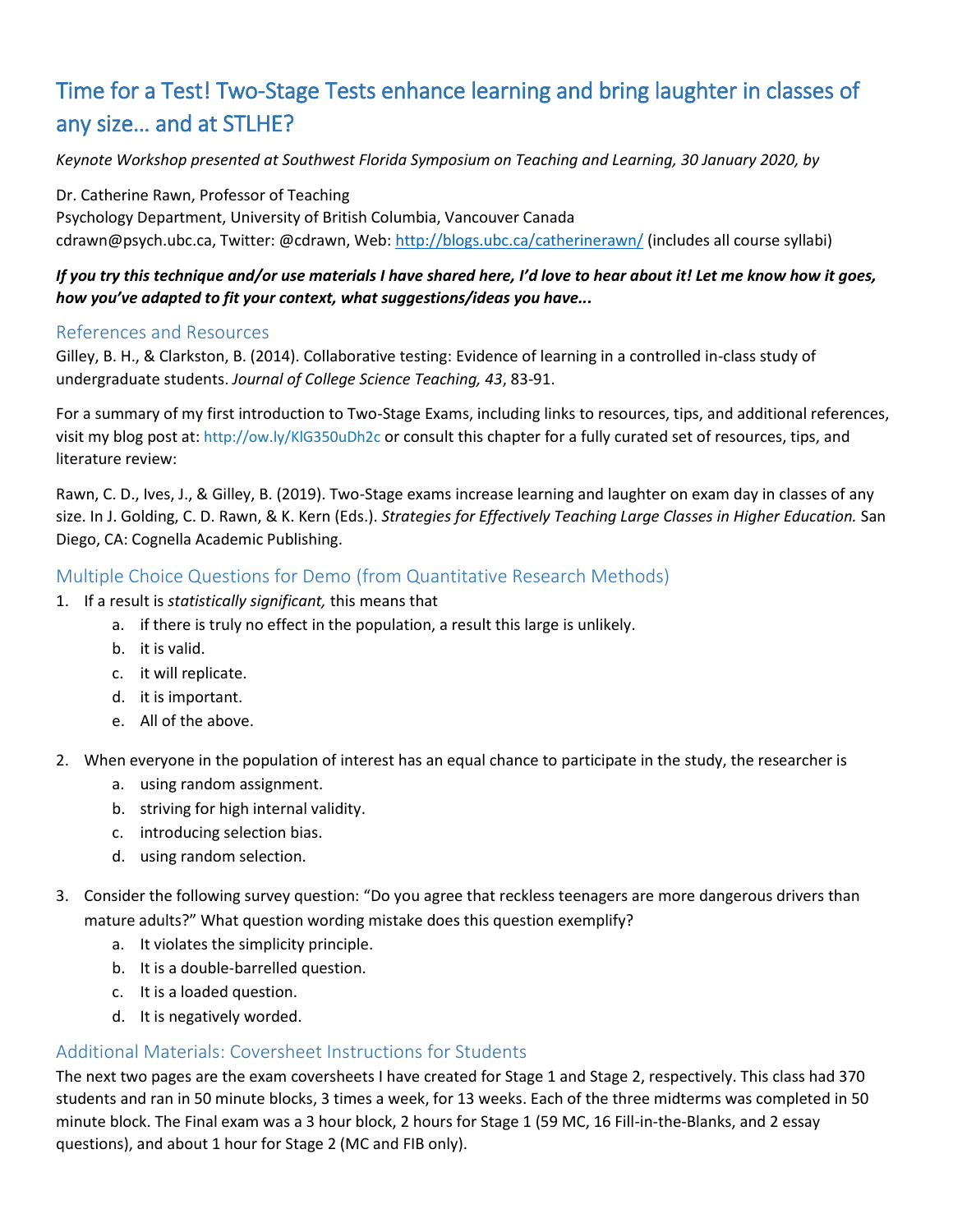## Time for a Test! Two-Stage Tests enhance learning and bring laughter in classes of any size… and at STLHE?

*Keynote Workshop presented at Southwest Florida Symposium on Teaching and Learning, 30 January 2020, by* 

Dr. Catherine Rawn, Professor of Teaching Psychology Department, University of British Columbia, Vancouver Canada cdrawn@psych.ubc.ca, Twitter: @cdrawn, Web: <http://blogs.ubc.ca/catherinerawn/> (includes all course syllabi)

### *If you try this technique and/or use materials I have shared here, I'd love to hear about it! Let me know how it goes, how you've adapted to fit your context, what suggestions/ideas you have...*

#### References and Resources

Gilley, B. H., & Clarkston, B. (2014). Collaborative testing: Evidence of learning in a controlled in-class study of undergraduate students. *Journal of College Science Teaching, 43*, 83-91.

For a summary of my first introduction to Two-Stage Exams, including links to resources, tips, and additional references, visit my blog post at: <http://ow.ly/KlG350uDh2c> or consult this chapter for a fully curated set of resources, tips, and literature review:

Rawn, C. D., Ives, J., & Gilley, B. (2019). Two-Stage exams increase learning and laughter on exam day in classes of any size. In J. Golding, C. D. Rawn, & K. Kern (Eds.). *Strategies for Effectively Teaching Large Classes in Higher Education.* San Diego, CA: Cognella Academic Publishing.

### Multiple Choice Questions for Demo (from Quantitative Research Methods)

- 1. If a result is *statistically significant,* this means that
	- a. if there is truly no effect in the population, a result this large is unlikely.
	- b. it is valid.
	- c. it will replicate.
	- d. it is important.
	- e. All of the above.
- 2. When everyone in the population of interest has an equal chance to participate in the study, the researcher is
	- a. using random assignment.
	- b. striving for high internal validity.
	- c. introducing selection bias.
	- d. using random selection.
- 3. Consider the following survey question: "Do you agree that reckless teenagers are more dangerous drivers than mature adults?" What question wording mistake does this question exemplify?
	- a. It violates the simplicity principle.
	- b. It is a double-barrelled question.
	- c. It is a loaded question.
	- d. It is negatively worded.

### Additional Materials: Coversheet Instructions for Students

The next two pages are the exam coversheets I have created for Stage 1 and Stage 2, respectively. This class had 370 students and ran in 50 minute blocks, 3 times a week, for 13 weeks. Each of the three midterms was completed in 50 minute block. The Final exam was a 3 hour block, 2 hours for Stage 1 (59 MC, 16 Fill-in-the-Blanks, and 2 essay questions), and about 1 hour for Stage 2 (MC and FIB only).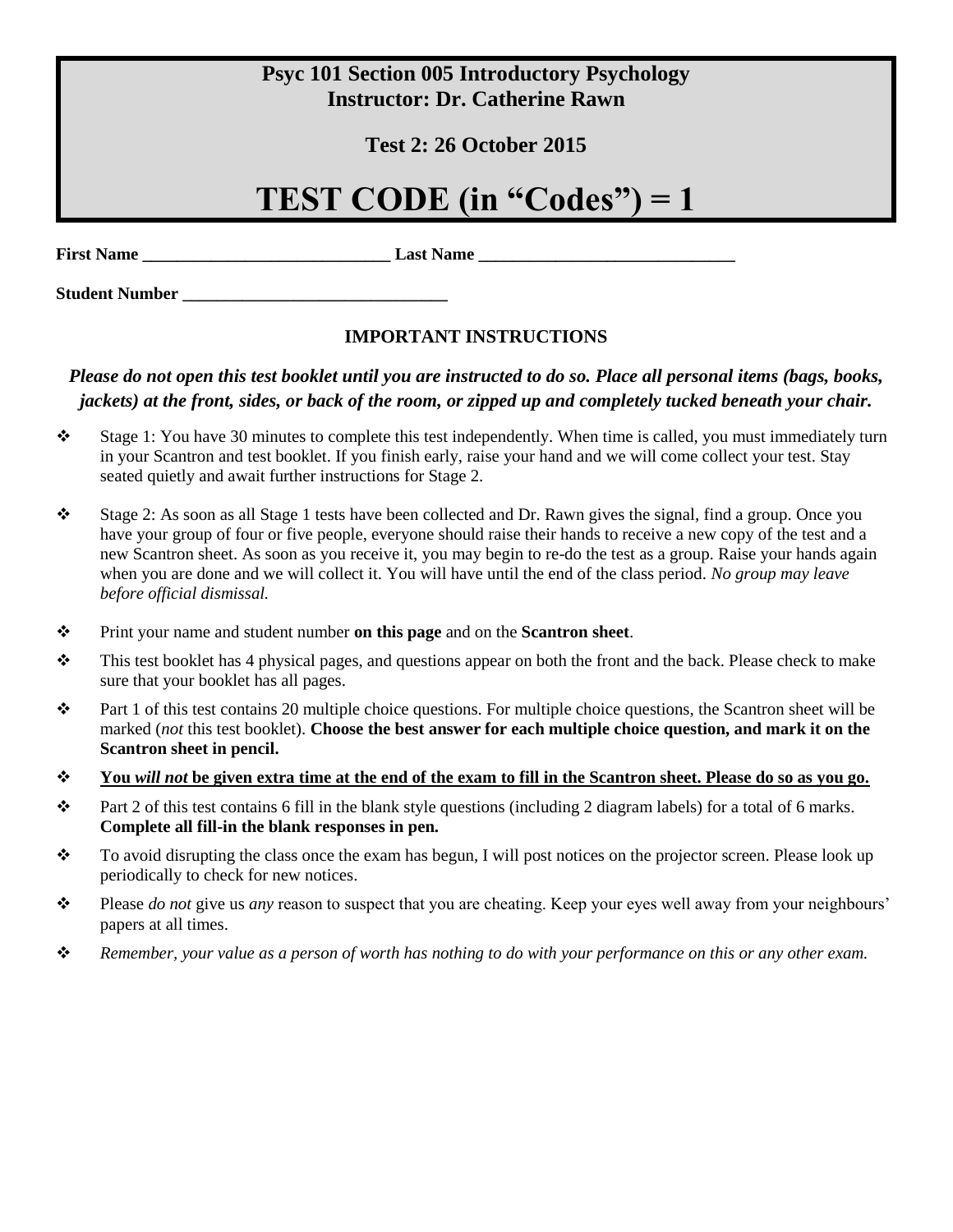## **Psyc 101 Section 005 Introductory Psychology Instructor: Dr. Catherine Rawn**

### **Test 2: 26 October 2015**

# **TEST CODE (in "Codes") = 1**

**First Name \_\_\_\_\_\_\_\_\_\_\_\_\_\_\_\_\_\_\_\_\_\_\_\_\_\_\_\_\_ Last Name \_\_\_\_\_\_\_\_\_\_\_\_\_\_\_\_\_\_\_\_\_\_\_\_\_\_\_\_\_\_**

**Student Number \_\_\_\_\_\_\_\_\_\_\_\_\_\_\_\_\_\_\_\_\_\_\_\_\_\_\_\_\_\_\_**

### **IMPORTANT INSTRUCTIONS**

### *Please do not open this test booklet until you are instructed to do so. Place all personal items (bags, books, jackets) at the front, sides, or back of the room, or zipped up and completely tucked beneath your chair.*

- ❖ Stage 1: You have 30 minutes to complete this test independently. When time is called, you must immediately turn in your Scantron and test booklet. If you finish early, raise your hand and we will come collect your test. Stay seated quietly and await further instructions for Stage 2.
- ❖ Stage 2: As soon as all Stage 1 tests have been collected and Dr. Rawn gives the signal, find a group. Once you have your group of four or five people, everyone should raise their hands to receive a new copy of the test and a new Scantron sheet. As soon as you receive it, you may begin to re-do the test as a group. Raise your hands again when you are done and we will collect it. You will have until the end of the class period. *No group may leave before official dismissal.*
- ❖ Print your name and student number **on this page** and on the **Scantron sheet**.
- $\bullet$  This test booklet has 4 physical pages, and questions appear on both the front and the back. Please check to make sure that your booklet has all pages.
- ❖ Part 1 of this test contains 20 multiple choice questions. For multiple choice questions, the Scantron sheet will be marked (*not* this test booklet). **Choose the best answer for each multiple choice question, and mark it on the Scantron sheet in pencil.**
- ❖ **You** *will not* **be given extra time at the end of the exam to fill in the Scantron sheet. Please do so as you go.**
- $♦$  Part 2 of this test contains 6 fill in the blank style questions (including 2 diagram labels) for a total of 6 marks. **Complete all fill-in the blank responses in pen.**
- ❖ To avoid disrupting the class once the exam has begun, I will post notices on the projector screen. Please look up periodically to check for new notices.
- ❖ Please *do not* give us *any* reason to suspect that you are cheating. Keep your eyes well away from your neighbours' papers at all times.
- ❖ *Remember, your value as a person of worth has nothing to do with your performance on this or any other exam.*